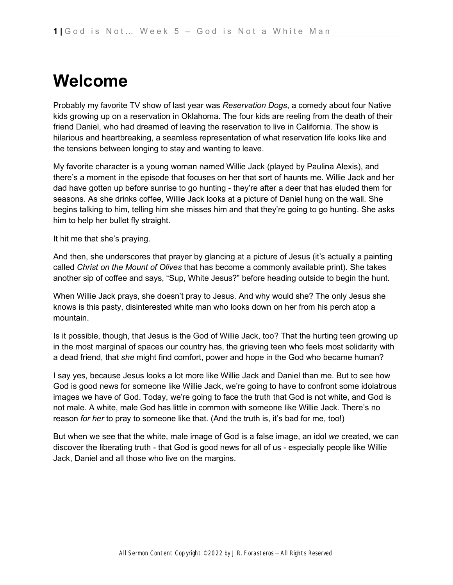### **Welcome**

Probably my favorite TV show of last year was *Reservation Dogs*, a comedy about four Native kids growing up on a reservation in Oklahoma. The four kids are reeling from the death of their friend Daniel, who had dreamed of leaving the reservation to live in California. The show is hilarious and heartbreaking, a seamless representation of what reservation life looks like and the tensions between longing to stay and wanting to leave.

My favorite character is a young woman named Willie Jack (played by Paulina Alexis), and there's a moment in the episode that focuses on her that sort of haunts me. Willie Jack and her dad have gotten up before sunrise to go hunting - they're after a deer that has eluded them for seasons. As she drinks coffee, Willie Jack looks at a picture of Daniel hung on the wall. She begins talking to him, telling him she misses him and that they're going to go hunting. She asks him to help her bullet fly straight.

It hit me that she's praying.

And then, she underscores that prayer by glancing at a picture of Jesus (it's actually a painting called *Christ on the Mount of Olives* that has become a commonly available print). She takes another sip of coffee and says, "Sup, White Jesus?" before heading outside to begin the hunt.

When Willie Jack prays, she doesn't pray to Jesus. And why would she? The only Jesus she knows is this pasty, disinterested white man who looks down on her from his perch atop a mountain.

Is it possible, though, that Jesus is the God of Willie Jack, too? That the hurting teen growing up in the most marginal of spaces our country has, the grieving teen who feels most solidarity with a dead friend, that *she* might find comfort, power and hope in the God who became human?

I say yes, because Jesus looks a lot more like Willie Jack and Daniel than me. But to see how God is good news for someone like Willie Jack, we're going to have to confront some idolatrous images we have of God. Today, we're going to face the truth that God is not white, and God is not male. A white, male God has little in common with someone like Willie Jack. There's no reason *for her* to pray to someone like that. (And the truth is, it's bad for me, too!)

But when we see that the white, male image of God is a false image, an idol *we* created, we can discover the liberating truth - that God is good news for all of us - especially people like Willie Jack, Daniel and all those who live on the margins.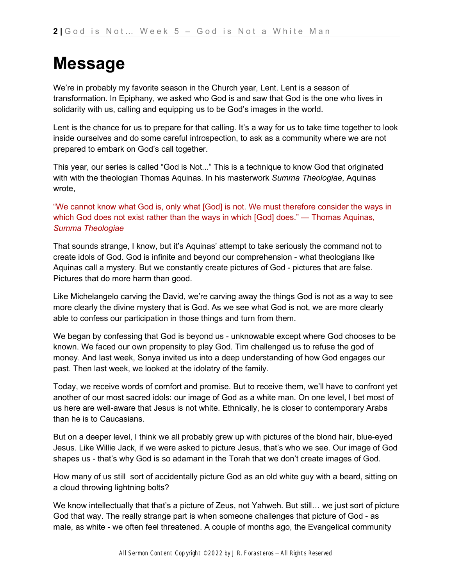## **Message**

We're in probably my favorite season in the Church year, Lent. Lent is a season of transformation. In Epiphany, we asked who God is and saw that God is the one who lives in solidarity with us, calling and equipping us to be God's images in the world.

Lent is the chance for us to prepare for that calling. It's a way for us to take time together to look inside ourselves and do some careful introspection, to ask as a community where we are not prepared to embark on God's call together.

This year, our series is called "God is Not..." This is a technique to know God that originated with with the theologian Thomas Aquinas. In his masterwork *Summa Theologiae*, Aquinas wrote,

"We cannot know what God is, only what [God] is not. We must therefore consider the ways in which God does not exist rather than the ways in which [God] does." — Thomas Aquinas, *Summa Theologiae*

That sounds strange, I know, but it's Aquinas' attempt to take seriously the command not to create idols of God. God is infinite and beyond our comprehension - what theologians like Aquinas call a mystery. But we constantly create pictures of God - pictures that are false. Pictures that do more harm than good.

Like Michelangelo carving the David, we're carving away the things God is not as a way to see more clearly the divine mystery that is God. As we see what God is not, we are more clearly able to confess our participation in those things and turn from them.

We began by confessing that God is beyond us - unknowable except where God chooses to be known. We faced our own propensity to play God. Tim challenged us to refuse the god of money. And last week, Sonya invited us into a deep understanding of how God engages our past. Then last week, we looked at the idolatry of the family.

Today, we receive words of comfort and promise. But to receive them, we'll have to confront yet another of our most sacred idols: our image of God as a white man. On one level, I bet most of us here are well-aware that Jesus is not white. Ethnically, he is closer to contemporary Arabs than he is to Caucasians.

But on a deeper level, I think we all probably grew up with pictures of the blond hair, blue-eyed Jesus. Like Willie Jack, if we were asked to picture Jesus, that's who we see. Our image of God shapes us - that's why God is so adamant in the Torah that we don't create images of God.

How many of us still sort of accidentally picture God as an old white guy with a beard, sitting on a cloud throwing lightning bolts?

We know intellectually that that's a picture of Zeus, not Yahweh. But still... we just sort of picture God that way. The really strange part is when someone challenges that picture of God - as male, as white - we often feel threatened. A couple of months ago, the Evangelical community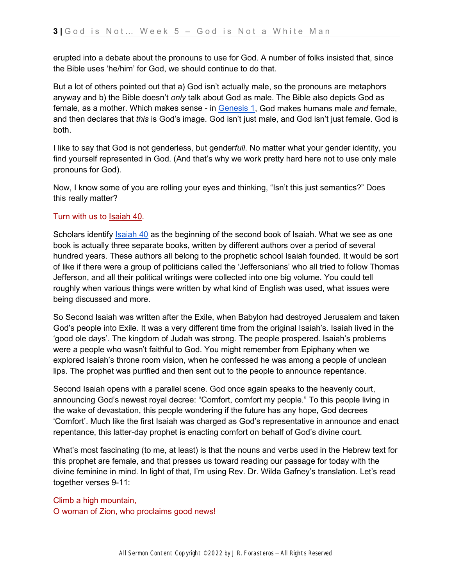erupted into a debate about the pronouns to use for God. A number of folks insisted that, since the Bible uses 'he/him' for God, we should continue to do that.

But a lot of others pointed out that a) God isn't actually male, so the pronouns are metaphors anyway and b) the Bible doesn't *only* talk about God as male. The Bible also depicts God as female, as a mother. Which makes sense - i[n](https://ref.ly/logosref/bible$2Bnlt.1.1) [Genesis 1,](https://ref.ly/logosref/bible$2Bnlt.1.1) God makes humans male *and* female, and then declares that *this* is God's image. God isn't just male, and God isn't just female. God is both.

I like to say that God is not genderless, but gender*full*. No matter what your gender identity, you find yourself represented in God. (And that's why we work pretty hard here not to use only male pronouns for God).

Now, I know some of you are rolling your eyes and thinking, "Isn't this just semantics?" Does this really matter?

#### Turn with us t[o](https://ref.ly/logosref/bible$2Bnlt.23.40) [Isaiah 40.](https://ref.ly/logosref/bible$2Bnlt.23.40)

Scholars identif[y](https://ref.ly/logosref/bible$2Bnlt.23.40) [Isaiah 40](https://ref.ly/logosref/bible$2Bnlt.23.40) as the beginning of the second book of Isaiah. What we see as one book is actually three separate books, written by different authors over a period of several hundred years. These authors all belong to the prophetic school Isaiah founded. It would be sort of like if there were a group of politicians called the 'Jeffersonians' who all tried to follow Thomas Jefferson, and all their political writings were collected into one big volume. You could tell roughly when various things were written by what kind of English was used, what issues were being discussed and more.

So Second Isaiah was written after the Exile, when Babylon had destroyed Jerusalem and taken God's people into Exile. It was a very different time from the original Isaiah's. Isaiah lived in the 'good ole days'. The kingdom of Judah was strong. The people prospered. Isaiah's problems were a people who wasn't faithful to God. You might remember from Epiphany when we explored Isaiah's throne room vision, when he confessed he was among a people of unclean lips. The prophet was purified and then sent out to the people to announce repentance.

Second Isaiah opens with a parallel scene. God once again speaks to the heavenly court, announcing God's newest royal decree: "Comfort, comfort my people." To this people living in the wake of devastation, this people wondering if the future has any hope, God decrees 'Comfort'. Much like the first Isaiah was charged as God's representative in announce and enact repentance, this latter-day prophet is enacting comfort on behalf of God's divine court.

What's most fascinating (to me, at least) is that the nouns and verbs used in the Hebrew text for this prophet are female, and that presses us toward reading our passage for today with the divine feminine in mind. In light of that, I'm using Rev. Dr. Wilda Gafney's translation. Let's read together verses 9-11:

Climb a high mountain, O woman of Zion, who proclaims good news!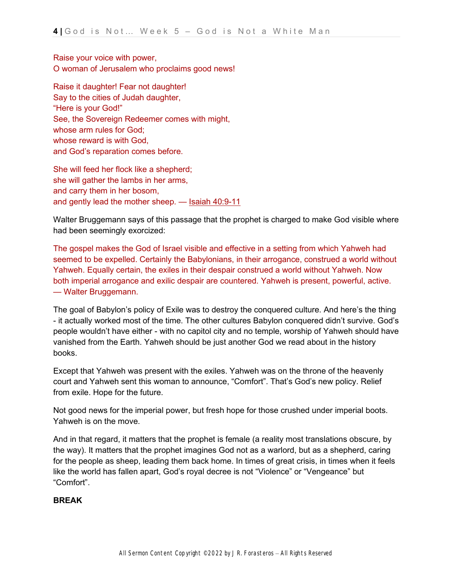Raise your voice with power, O woman of Jerusalem who proclaims good news!

Raise it daughter! Fear not daughter! Say to the cities of Judah daughter, "Here is your God!" See, the Sovereign Redeemer comes with might, whose arm rules for God; whose reward is with God, and God's reparation comes before.

She will feed her flock like a shepherd; she will gather the lambs in her arms, and carry them in her bosom, and gently lead the mother sheep. - [Isaiah 40:9-11](https://ref.ly/logosref/bible$2Bnlt.23.40.9-23.40.11)

Walter Bruggemann says of this passage that the prophet is charged to make God visible where had been seemingly exorcized:

The gospel makes the God of Israel visible and effective in a setting from which Yahweh had seemed to be expelled. Certainly the Babylonians, in their arrogance, construed a world without Yahweh. Equally certain, the exiles in their despair construed a world without Yahweh. Now both imperial arrogance and exilic despair are countered. Yahweh is present, powerful, active. — Walter Bruggemann.

The goal of Babylon's policy of Exile was to destroy the conquered culture. And here's the thing - it actually worked most of the time. The other cultures Babylon conquered didn't survive. God's people wouldn't have either - with no capitol city and no temple, worship of Yahweh should have vanished from the Earth. Yahweh should be just another God we read about in the history books.

Except that Yahweh was present with the exiles. Yahweh was on the throne of the heavenly court and Yahweh sent this woman to announce, "Comfort". That's God's new policy. Relief from exile. Hope for the future.

Not good news for the imperial power, but fresh hope for those crushed under imperial boots. Yahweh is on the move.

And in that regard, it matters that the prophet is female (a reality most translations obscure, by the way). It matters that the prophet imagines God not as a warlord, but as a shepherd, caring for the people as sheep, leading them back home. In times of great crisis, in times when it feels like the world has fallen apart, God's royal decree is not "Violence" or "Vengeance" but "Comfort".

#### **BREAK**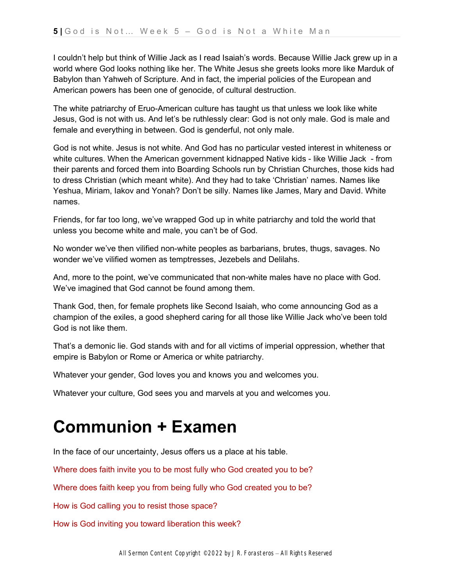I couldn't help but think of Willie Jack as I read Isaiah's words. Because Willie Jack grew up in a world where God looks nothing like her. The White Jesus she greets looks more like Marduk of Babylon than Yahweh of Scripture. And in fact, the imperial policies of the European and American powers has been one of genocide, of cultural destruction.

The white patriarchy of Eruo-American culture has taught us that unless we look like white Jesus, God is not with us. And let's be ruthlessly clear: God is not only male. God is male and female and everything in between. God is genderful, not only male.

God is not white. Jesus is not white. And God has no particular vested interest in whiteness or white cultures. When the American government kidnapped Native kids - like Willie Jack - from their parents and forced them into Boarding Schools run by Christian Churches, those kids had to dress Christian (which meant white). And they had to take 'Christian' names. Names like Yeshua, Miriam, Iakov and Yonah? Don't be silly. Names like James, Mary and David. White names.

Friends, for far too long, we've wrapped God up in white patriarchy and told the world that unless you become white and male, you can't be of God.

No wonder we've then vilified non-white peoples as barbarians, brutes, thugs, savages. No wonder we've vilified women as temptresses, Jezebels and Delilahs.

And, more to the point, we've communicated that non-white males have no place with God. We've imagined that God cannot be found among them.

Thank God, then, for female prophets like Second Isaiah, who come announcing God as a champion of the exiles, a good shepherd caring for all those like Willie Jack who've been told God is not like them.

That's a demonic lie. God stands with and for all victims of imperial oppression, whether that empire is Babylon or Rome or America or white patriarchy.

Whatever your gender, God loves you and knows you and welcomes you.

Whatever your culture, God sees you and marvels at you and welcomes you.

## **Communion + Examen**

In the face of our uncertainty, Jesus offers us a place at his table.

Where does faith invite you to be most fully who God created you to be?

Where does faith keep you from being fully who God created you to be?

How is God calling you to resist those space?

How is God inviting you toward liberation this week?